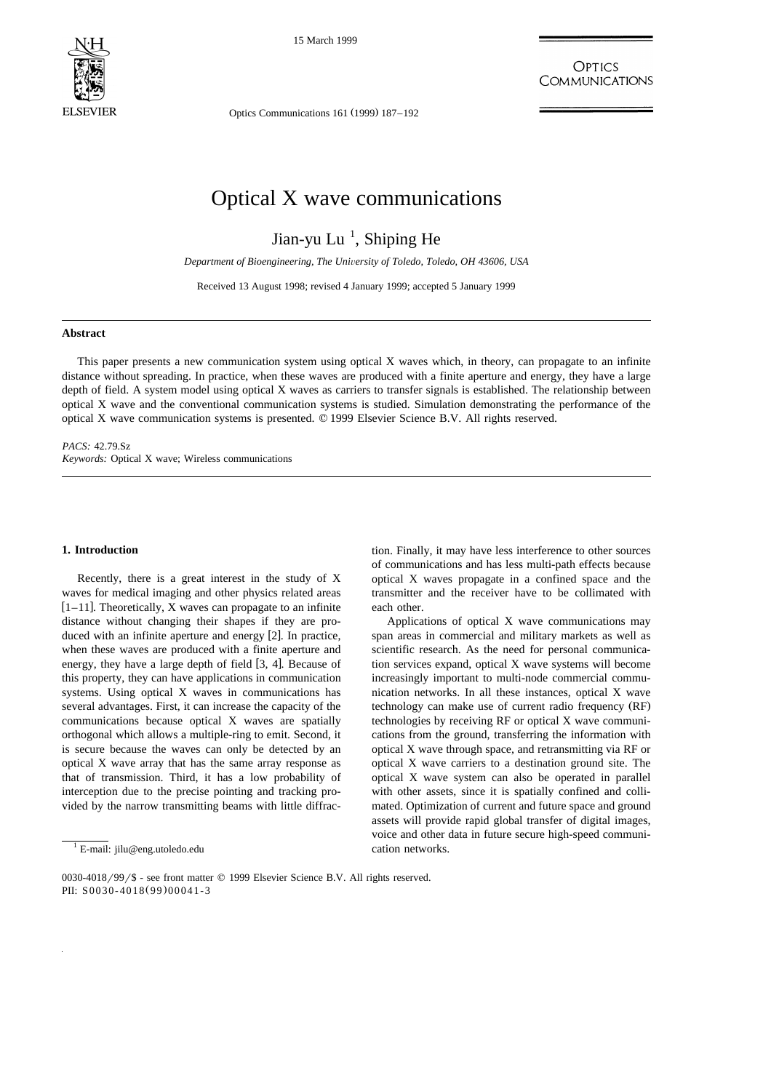

15 March 1999

OPTICS **COMMUNICATIONS** 

Optics Communications  $161$  (1999)  $187-192$ 

# Optical X wave communications

Jian-yu Lu<sup>1</sup>, Shiping He

*Department of Bioengineering, The Uni*Õ*ersity of Toledo, Toledo, OH 43606, USA*

Received 13 August 1998; revised 4 January 1999; accepted 5 January 1999

#### **Abstract**

This paper presents a new communication system using optical X waves which, in theory, can propagate to an infinite distance without spreading. In practice, when these waves are produced with a finite aperture and energy, they have a large depth of field. A system model using optical X waves as carriers to transfer signals is established. The relationship between optical X wave and the conventional communication systems is studied. Simulation demonstrating the performance of the optical X wave communication systems is presented. q 1999 Elsevier Science B.V. All rights reserved.

*PACS:* 42.79.Sz *Keywords:* Optical X wave; Wireless communications

#### **1. Introduction**

Recently, there is a great interest in the study of X waves for medical imaging and other physics related areas  $[1-11]$ . Theoretically, X waves can propagate to an infinite distance without changing their shapes if they are produced with an infinite aperture and energy [2]. In practice, when these waves are produced with a finite aperture and energy, they have a large depth of field  $[3, 4]$ . Because of this property, they can have applications in communication systems. Using optical X waves in communications has several advantages. First, it can increase the capacity of the communications because optical X waves are spatially orthogonal which allows a multiple-ring to emit. Second, it is secure because the waves can only be detected by an optical X wave array that has the same array response as that of transmission. Third, it has a low probability of interception due to the precise pointing and tracking provided by the narrow transmitting beams with little diffrac-

tion. Finally, it may have less interference to other sources of communications and has less multi-path effects because optical X waves propagate in a confined space and the transmitter and the receiver have to be collimated with each other.

Applications of optical X wave communications may span areas in commercial and military markets as well as scientific research. As the need for personal communication services expand, optical X wave systems will become increasingly important to multi-node commercial communication networks. In all these instances, optical X wave technology can make use of current radio frequency (RF) technologies by receiving RF or optical X wave communications from the ground, transferring the information with optical X wave through space, and retransmitting via RF or optical X wave carriers to a destination ground site. The optical X wave system can also be operated in parallel with other assets, since it is spatially confined and collimated. Optimization of current and future space and ground assets will provide rapid global transfer of digital images, voice and other data in future secure high-speed communication networks.

 $1$  E-mail: jilu@eng.utoledo.edu

<sup>0030-4018/99/\$ -</sup> see front matter  $©$  1999 Elsevier Science B.V. All rights reserved. PII: S0030-4018(99)00041-3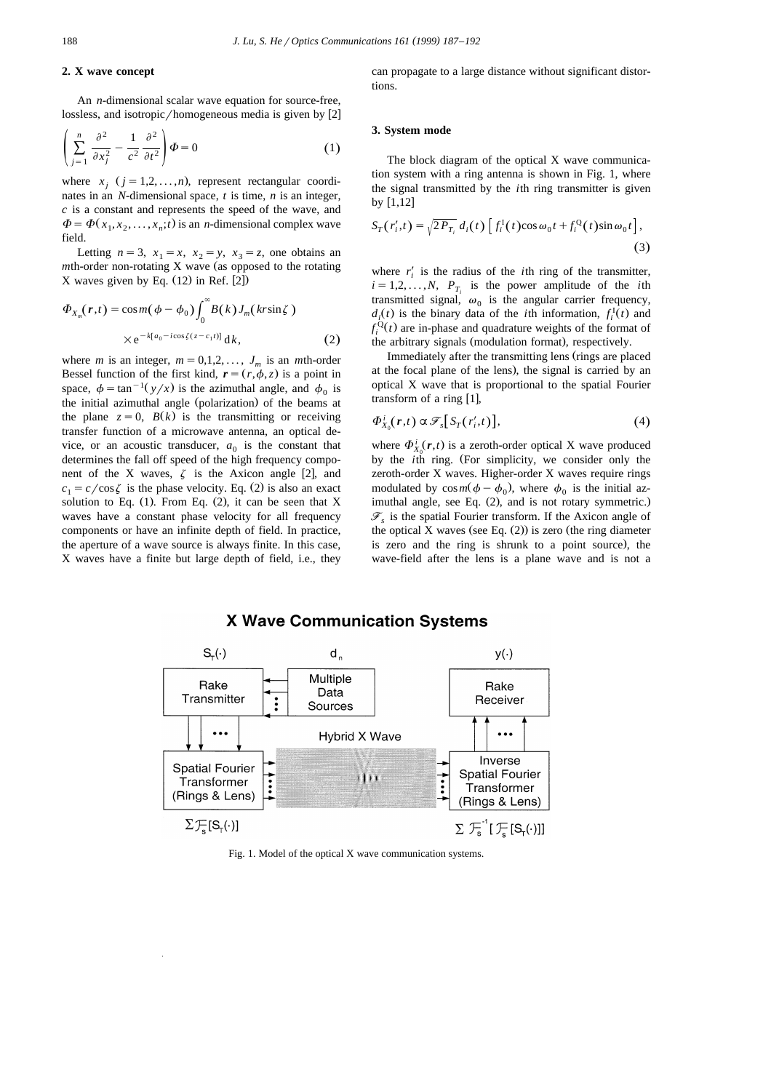# **2. X wave concept**

An *n*-dimensional scalar wave equation for source-free, lossless, and isotropic/homogeneous media is given by  $[2]$ 

$$
\left(\sum_{j=1}^{n} \frac{\partial^2}{\partial x_j^2} - \frac{1}{c^2} \frac{\partial^2}{\partial t^2}\right) \Phi = 0
$$
 (1)

where  $x_i$   $(j = 1,2,...,n)$ , represent rectangular coordinates in an *N*-dimensional space, *t* is time, *n* is an integer, *c* is a constant and represents the speed of the wave, and  $\Phi = \Phi(x_1, x_2, \dots, x_n; t)$  is an *n*-dimensional complex wave field.

Letting  $n=3$ ,  $x_1=x$ ,  $x_2=y$ ,  $x_3=z$ , one obtains an *m*th-order non-rotating X wave (as opposed to the rotating  $X$  waves given by Eq.  $(12)$  in Ref.  $[2]$ 

$$
\Phi_{X_m}(\mathbf{r},t) = \cos m(\phi - \phi_0) \int_0^\infty B(k) J_m(kr \sin \zeta)
$$
  
×e<sup>-k[a\_0 - i cos\xi(z - c\_1 t)] d*k*, (2)</sup>

where *m* is an integer,  $m = 0,1,2,..., J_m$  is an *m*th-order Bessel function of the first kind,  $\mathbf{r} = (r, \phi, z)$  is a point in space,  $\phi = \tan^{-1}(y/x)$  is the azimuthal angle, and  $\phi_0$  is the initial azimuthal angle (polarization) of the beams at the plane  $z = 0$ ,  $B(k)$  is the transmitting or receiving transfer function of a microwave antenna, an optical device, or an acoustic transducer,  $a_0$  is the constant that determines the fall off speed of the high frequency component of the X waves,  $\zeta$  is the Axicon angle [2], and  $c_1 = c / \cos \zeta$  is the phase velocity. Eq. (2) is also an exact solution to Eq.  $(1)$ . From Eq.  $(2)$ , it can be seen that X waves have a constant phase velocity for all frequency components or have an infinite depth of field. In practice, the aperture of a wave source is always finite. In this case, X waves have a finite but large depth of field, i.e., they can propagate to a large distance without significant distortions.

#### **3. System mode**

The block diagram of the optical X wave communication system with a ring antenna is shown in Fig. 1, where the signal transmitted by the *i*th ring transmitter is given by  $[1,12]$ 

$$
S_T(r_i',t) = \sqrt{2P_{T_i}} d_i(t) \left[ f_i^{\mathrm{I}}(t) \cos \omega_0 t + f_i^{\mathrm{Q}}(t) \sin \omega_0 t \right],\tag{3}
$$

where  $r_i'$  is the radius of the *i*th ring of the transmitter,  $i = 1, 2, \ldots, N$ ,  $P_T$  is the power amplitude of the *i*th transmitted signal,  $\omega_0$  is the angular carrier frequency,  $d_i(t)$  is the binary data of the *i*th information,  $f_i^{\mathrm{I}}(t)$  and  $f_i^{\mathcal{Q}}(t)$  are in-phase and quadrature weights of the format of the arbitrary signals (modulation format), respectively.

Immediately after the transmitting lens (rings are placed at the focal plane of the lens), the signal is carried by an optical X wave that is proportional to the spatial Fourier transform of a ring  $[1]$ ,

$$
\Phi_{X_0}^i(\boldsymbol{r},t) \propto \mathcal{F}_s[S_T(r'_i,t)],\tag{4}
$$

where  $\Phi_{X_0}^i(\mathbf{r},t)$  is a zeroth-order optical X wave produced by the *i*th ring. (For simplicity, we consider only the zeroth-order X waves. Higher-order X waves require rings modulated by  $\cos m(\phi - \phi_0)$ , where  $\phi_0$  is the initial azimuthal angle, see Eq. (2), and is not rotary symmetric.)  $\mathscr{F}_s$  is the spatial Fourier transform. If the Axicon angle of the optical X waves (see Eq.  $(2)$ ) is zero (the ring diameter is zero and the ring is shrunk to a point source), the wave-field after the lens is a plane wave and is not a



# **X Wave Communication Systems**

Fig. 1. Model of the optical X wave communication systems.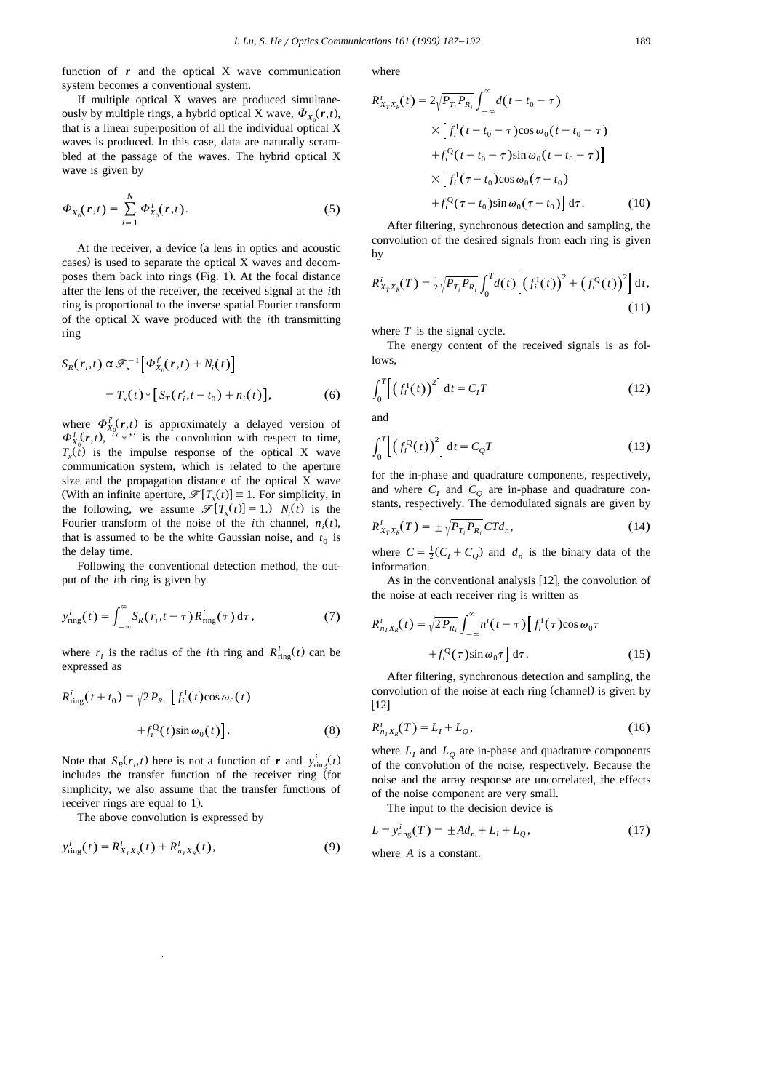function of  $r$  and the optical  $X$  wave communication system becomes a conventional system.

If multiple optical X waves are produced simultaneously by multiple rings, a hybrid optical X wave,  $\Phi_{\rm Y}(\mathbf{r},t)$ , that is a linear superposition of all the individual optical X waves is produced. In this case, data are naturally scrambled at the passage of the waves. The hybrid optical X wave is given by

$$
\Phi_{X_0}(r,t) = \sum_{i=1}^N \Phi_{X_0}^i(r,t).
$$
\n(5)

At the receiver, a device (a lens in optics and acoustic cases) is used to separate the optical X waves and decomposes them back into rings (Fig. 1). At the focal distance after the lens of the receiver, the received signal at the *i*th ring is proportional to the inverse spatial Fourier transform of the optical X wave produced with the *i*th transmitting ring

$$
S_R(r_i, t) \propto \mathcal{F}_s^{-1} \Big[ \Phi_{X_0}^{i'}(r, t) + N_i(t) \Big]
$$
  
=  $T_x(t) * [S_T(r_i', t - t_0) + n_i(t)],$  (6)

where  $\Phi_{X_0}^{i'}(r,t)$  is approximately a delayed version of  $\Phi_{X_0}^{i}(r,t)$ ,  $\cdot\cdot\cdot$  is the convolution with respect to time,  $T_{\rm t}(\vec{t})$  is the impulse response of the optical X wave communication system, which is related to the aperture size and the propagation distance of the optical X wave (With an infinite aperture,  $\mathcal{F}[T_x(t)] \equiv 1$ . For simplicity, in the following, we assume  $\mathcal{F}[T_x(t)] \equiv 1$ .)  $N_i(t)$  is the Fourier transform of the noise of the *i*th channel,  $n_i(t)$ , that is assumed to be the white Gaussian noise, and  $t_0$  is the delay time.

Following the conventional detection method, the output of the *i*th ring is given by

$$
y_{\text{ring}}^i(t) = \int_{-\infty}^{\infty} S_R(r_i, t - \tau) R_{\text{ring}}^i(\tau) d\tau, \qquad (7)
$$

where  $r_i$  is the radius of the *i*th ring and  $R_{\text{ring}}^i(t)$  can be expressed as

$$
R_{\text{ring}}^i(t + t_0) = \sqrt{2 P_{R_i}} \left[ f_i^{\text{I}}(t) \cos \omega_0(t) + f_i^{\text{Q}}(t) \sin \omega_0(t) \right].
$$
 (8)

Note that  $S_R(r_i, t)$  here is not a function of *r* and  $y_{\text{ring}}^i(t)$ includes the transfer function of the receiver ring  $($ for simplicity, we also assume that the transfer functions of receiver rings are equal to 1).

The above convolution is expressed by

$$
y_{\text{ring}}^i(t) = R_{X_T X_R}^i(t) + R_{n_T X_R}^i(t),
$$
\n(9)

where

$$
R_{X_T X_R}^i(t) = 2\sqrt{P_{T_i} P_{R_i}} \int_{-\infty}^{\infty} d(t - t_0 - \tau)
$$
  
 
$$
\times \left[ f_i^{\mathrm{T}}(t - t_0 - \tau) \cos \omega_0 (t - t_0 - \tau) + f_i^{\mathrm{Q}}(t - t_0 - \tau) \sin \omega_0 (t - t_0 - \tau) \right]
$$
  
 
$$
\times \left[ f_i^{\mathrm{T}}(\tau - t_0) \cos \omega_0 (\tau - t_0) + f_i^{\mathrm{Q}}(\tau - t_0) \sin \omega_0 (\tau - t_0) \right] d\tau.
$$
 (10)

After filtering, synchronous detection and sampling, the convolution of the desired signals from each ring is given by

$$
R_{X_T X_R}^i(T) = \frac{1}{2} \sqrt{P_{T_i} P_{R_i}} \int_0^T d(t) \Big[ \big(f_i^1(t)\big)^2 + \big(f_i^Q(t)\big)^2 \Big] dt,
$$
\n(11)

where  $T$  is the signal cycle.

The energy content of the received signals is as follows,

$$
\int_0^T \left[ \left( f_i^1(t) \right)^2 \right] dt = C_I T \tag{12}
$$

and

$$
\int_0^T \left[ \left( f_i^{\mathbf{Q}}(t) \right)^2 \right] \mathrm{d}t = C_Q T \tag{13}
$$

for the in-phase and quadrature components, respectively, and where  $C_I$  and  $C_O$  are in-phase and quadrature constants, respectively. The demodulated signals are given by

$$
R_{X_T X_R}^i(T) = \pm \sqrt{P_{T_i} P_{R_i}} C T d_n, \qquad (14)
$$

where  $C = \frac{1}{2}(C_I + C_Q)$  and  $d_n$  is the binary data of the information.

As in the conventional analysis  $[12]$ , the convolution of the noise at each receiver ring is written as

$$
R_{n_T X_R}^i(t) = \sqrt{2 P_{R_i}} \int_{-\infty}^{\infty} n^i(t - \tau) \Big[ f_i^1(\tau) \cos \omega_0 \tau + f_i^Q(\tau) \sin \omega_0 \tau \Big] d\tau.
$$
 (15)

After filtering, synchronous detection and sampling, the convolution of the noise at each ring (channel) is given by  $[12]$ 

$$
R_{n_T X_R}^i(T) = L_I + L_Q,
$$
\n(16)

where  $L_l$  and  $L_o$  are in-phase and quadrature components of the convolution of the noise, respectively. Because the noise and the array response are uncorrelated, the effects of the noise component are very small.

The input to the decision device is

$$
L = y_{\text{ring}}^i(T) = \pm Ad_n + L_l + L_Q,\tag{17}
$$

where *A* is a constant.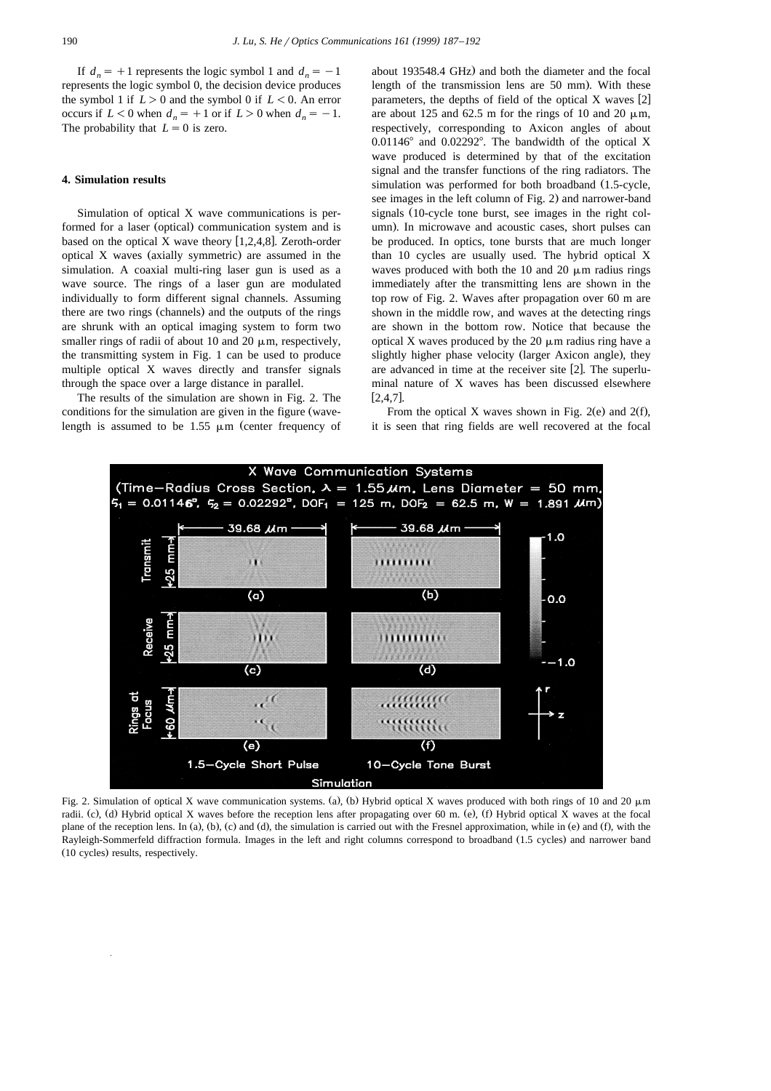If  $d_n = +1$  represents the logic symbol 1 and  $d_n = -1$ represents the logic symbol 0, the decision device produces the symbol 1 if  $L > 0$  and the symbol 0 if  $L < 0$ . An error occurs if  $L < 0$  when  $d_n = +1$  or if  $L > 0$  when  $d_n = -1$ . The probability that  $L=0$  is zero.

#### **4. Simulation results**

Simulation of optical X wave communications is performed for a laser (optical) communication system and is based on the optical X wave theory  $[1,2,4,8]$ . Zeroth-order optical  $X$  waves (axially symmetric) are assumed in the simulation. A coaxial multi-ring laser gun is used as a wave source. The rings of a laser gun are modulated individually to form different signal channels. Assuming there are two rings (channels) and the outputs of the rings are shrunk with an optical imaging system to form two smaller rings of radii of about 10 and 20  $\mu$ m, respectively, the transmitting system in Fig. 1 can be used to produce multiple optical X waves directly and transfer signals through the space over a large distance in parallel.

The results of the simulation are shown in Fig. 2. The conditions for the simulation are given in the figure (wavelength is assumed to be 1.55  $\mu$ m (center frequency of

about 193548.4 GHz) and both the diameter and the focal length of the transmission lens are 50 mm). With these parameters, the depths of field of the optical  $X$  waves [2] are about 125 and 62.5 m for the rings of 10 and 20  $\mu$ m. respectively, corresponding to Axicon angles of about  $0.01146^{\circ}$  and  $0.02292^{\circ}$ . The bandwidth of the optical X wave produced is determined by that of the excitation signal and the transfer functions of the ring radiators. The simulation was performed for both broadband (1.5-cycle, see images in the left column of Fig. 2) and narrower-band signals (10-cycle tone burst, see images in the right column). In microwave and acoustic cases, short pulses can be produced. In optics, tone bursts that are much longer than 10 cycles are usually used. The hybrid optical X waves produced with both the 10 and 20  $\mu$ m radius rings immediately after the transmitting lens are shown in the top row of Fig. 2. Waves after propagation over 60 m are shown in the middle row, and waves at the detecting rings are shown in the bottom row. Notice that because the optical X waves produced by the  $20 \mu m$  radius ring have a slightly higher phase velocity (larger Axicon angle), they are advanced in time at the receiver site [2]. The superluminal nature of X waves has been discussed elsewhere  $[2, 4, 7]$ .

From the optical X waves shown in Fig.  $2(e)$  and  $2(f)$ . it is seen that ring fields are well recovered at the focal



Fig. 2. Simulation of optical X wave communication systems. (a), (b) Hybrid optical X waves produced with both rings of 10 and 20  $\mu$ m radii. (c), (d) Hybrid optical X waves before the reception lens after propagating over 60 m. (e), (f) Hybrid optical X waves at the focal plane of the reception lens. In (a), (b), (c) and (d), the simulation is carried out with the Fresnel approximation, while in (e) and (f), with the Rayleigh-Sommerfeld diffraction formula. Images in the left and right columns correspond to broadband (1.5 cycles) and narrower band (10 cycles) results, respectively.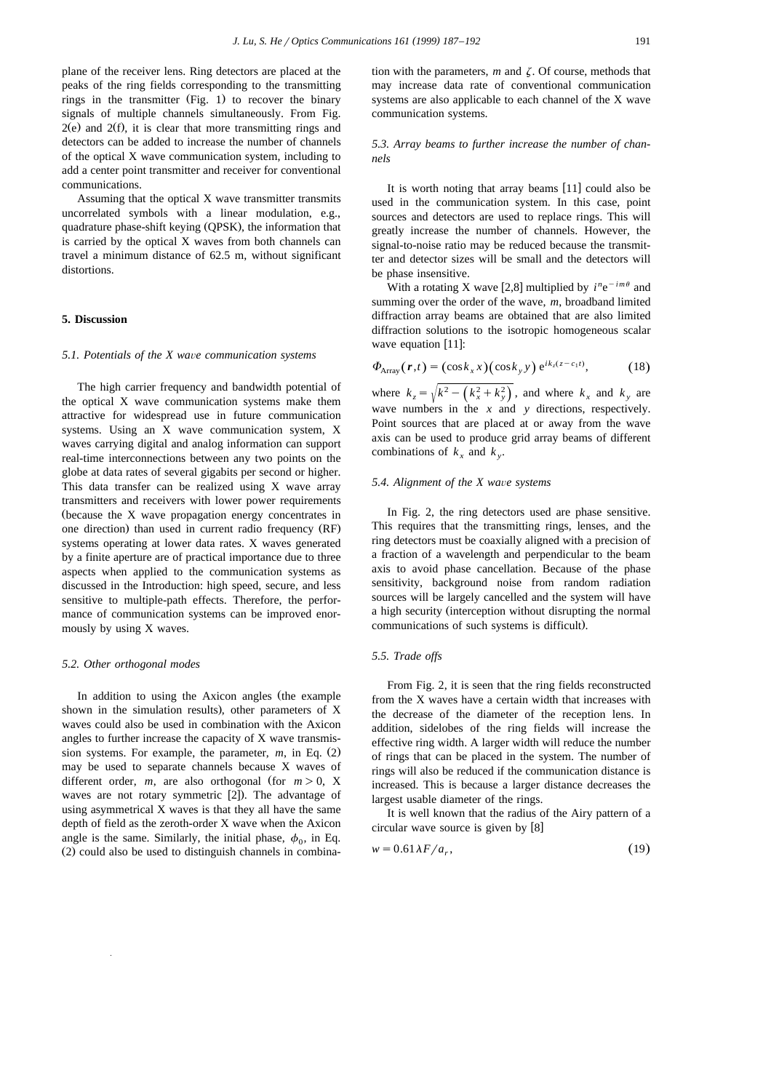plane of the receiver lens. Ring detectors are placed at the peaks of the ring fields corresponding to the transmitting rings in the transmitter  $(Fig. 1)$  to recover the binary signals of multiple channels simultaneously. From Fig.  $2(e)$  and  $2(f)$ , it is clear that more transmitting rings and detectors can be added to increase the number of channels of the optical X wave communication system, including to add a center point transmitter and receiver for conventional communications.

Assuming that the optical X wave transmitter transmits uncorrelated symbols with a linear modulation, e.g., quadrature phase-shift keying (QPSK), the information that is carried by the optical X waves from both channels can travel a minimum distance of 62.5 m, without significant distortions.

#### **5. Discussion**

## *5.1. Potentials of the X wa*Õ*e communication systems*

The high carrier frequency and bandwidth potential of the optical X wave communication systems make them attractive for widespread use in future communication systems. Using an X wave communication system, X waves carrying digital and analog information can support real-time interconnections between any two points on the globe at data rates of several gigabits per second or higher. This data transfer can be realized using X wave array transmitters and receivers with lower power requirements (because the  $X$  wave propagation energy concentrates in one direction) than used in current radio frequency (RF) systems operating at lower data rates. X waves generated by a finite aperture are of practical importance due to three aspects when applied to the communication systems as discussed in the Introduction: high speed, secure, and less sensitive to multiple-path effects. Therefore, the performance of communication systems can be improved enormously by using X waves.

#### *5.2. Other orthogonal modes*

In addition to using the Axicon angles (the example shown in the simulation results), other parameters of X waves could also be used in combination with the Axicon angles to further increase the capacity of X wave transmission systems. For example, the parameter,  $m$ , in Eq.  $(2)$ may be used to separate channels because X waves of different order, *m*, are also orthogonal (for  $m > 0$ , X waves are not rotary symmetric  $[2]$ ). The advantage of using asymmetrical X waves is that they all have the same depth of field as the zeroth-order X wave when the Axicon angle is the same. Similarly, the initial phase,  $\phi_0$ , in Eq.  $(2)$  could also be used to distinguish channels in combina-

## *5.3. Array beams to further increase the number of channels*

It is worth noting that array beams  $[11]$  could also be used in the communication system. In this case, point sources and detectors are used to replace rings. This will greatly increase the number of channels. However, the signal-to-noise ratio may be reduced because the transmitter and detector sizes will be small and the detectors will be phase insensitive.

With a rotating X wave [2,8] multiplied by  $i^n e^{-im\theta}$  and summing over the order of the wave, *m*, broadband limited diffraction array beams are obtained that are also limited diffraction solutions to the isotropic homogeneous scalar wave equation  $[11]$ :

$$
\Phi_{\text{Array}}(\boldsymbol{r},t) = (\cos k_x x)(\cos k_y y) e^{ik_z(z-c_1t)},\tag{18}
$$

where  $k_z = \sqrt{k^2 - (k_x^2 + k_y^2)}$ , and where  $k_x$  and  $k_y$  are wave numbers in the *x* and *y* directions, respectively. Point sources that are placed at or away from the wave axis can be used to produce grid array beams of different combinations of  $k_x$  and  $k_y$ .

#### *5.4. Alignment of the X wa*Õ*e systems*

In Fig. 2, the ring detectors used are phase sensitive. This requires that the transmitting rings, lenses, and the ring detectors must be coaxially aligned with a precision of a fraction of a wavelength and perpendicular to the beam axis to avoid phase cancellation. Because of the phase sensitivity, background noise from random radiation sources will be largely cancelled and the system will have a high security (interception without disrupting the normal communications of such systems is difficult).

# *5.5. Trade offs*

From Fig. 2, it is seen that the ring fields reconstructed from the X waves have a certain width that increases with the decrease of the diameter of the reception lens. In addition, sidelobes of the ring fields will increase the effective ring width. A larger width will reduce the number of rings that can be placed in the system. The number of rings will also be reduced if the communication distance is increased. This is because a larger distance decreases the largest usable diameter of the rings.

It is well known that the radius of the Airy pattern of a circular wave source is given by  $[8]$ 

$$
w = 0.61 \lambda F / a_r,\tag{19}
$$